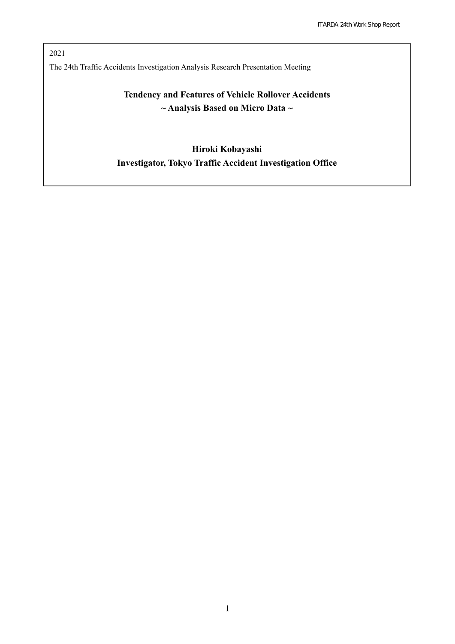2021 The 24th Traffic Accidents Investigation Analysis Research Presentation Meeting

# **Tendency and Features of Vehicle Rollover Accidents ~ Analysis Based on Micro Data ~**

# **Hiroki Kobayashi Investigator, Tokyo Traffic Accident Investigation Office**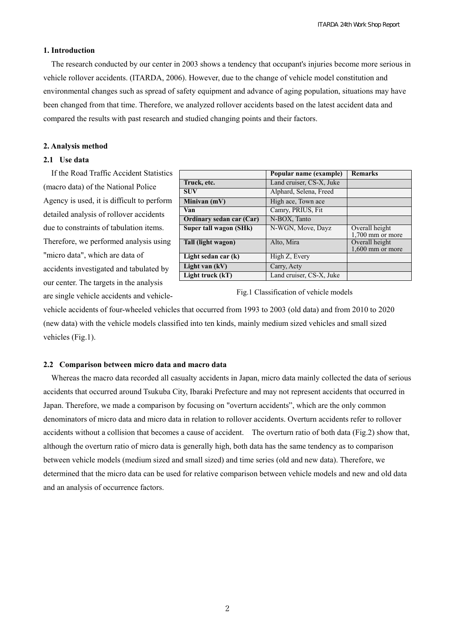#### **1. Introduction**

The research conducted by our center in 2003 shows a tendency that occupant's injuries become more serious in vehicle rollover accidents. (ITARDA, 2006). However, due to the change of vehicle model constitution and environmental changes such as spread of safety equipment and advance of aging population, situations may have been changed from that time. Therefore, we analyzed rollover accidents based on the latest accident data and compared the results with past research and studied changing points and their factors.

#### **2. Analysis method**

# **2.1 Use data**

If the Road Traffic Accident Statistics (macro data) of the National Police Agency is used, it is difficult to perform detailed analysis of rollover accidents due to constraints of tabulation items. Therefore, we performed analysis using "micro data", which are data of accidents investigated and tabulated by our center. The targets in the analysis are single vehicle accidents and vehicle-

|                          | Popular name (example)   | <b>Remarks</b>                       |
|--------------------------|--------------------------|--------------------------------------|
| Truck, etc.              | Land cruiser, CS-X, Juke |                                      |
| <b>SUV</b>               | Alphard, Selena, Freed   |                                      |
| Minivan (mV)             | High ace, Town ace       |                                      |
| Van                      | Camry, PRIUS, Fit        |                                      |
| Ordinary sedan car (Car) | N-BOX, Tanto             |                                      |
| Super tall wagon (SHk)   | N-WGN, Move, Dayz        | Overall height<br>$1,700$ mm or more |
| Tall (light wagon)       | Alto, Mira               | Overall height<br>$1,600$ mm or more |
| Light sedan car (k)      | High Z, Every            |                                      |
| Light van (kV)           | Carry, Acty              |                                      |
| Light truck (kT)         | Land cruiser, CS-X, Juke |                                      |

Fig.1 Classification of vehicle models

vehicle accidents of four-wheeled vehicles that occurred from 1993 to 2003 (old data) and from 2010 to 2020 (new data) with the vehicle models classified into ten kinds, mainly medium sized vehicles and small sized vehicles (Fig.1).

#### **2.2 Comparison between micro data and macro data**

Whereas the macro data recorded all casualty accidents in Japan, micro data mainly collected the data of serious accidents that occurred around Tsukuba City, Ibaraki Prefecture and may not represent accidents that occurred in Japan. Therefore, we made a comparison by focusing on "overturn accidents", which are the only common denominators of micro data and micro data in relation to rollover accidents. Overturn accidents refer to rollover accidents without a collision that becomes a cause of accident. The overturn ratio of both data (Fig.2) show that, although the overturn ratio of micro data is generally high, both data has the same tendency as to comparison between vehicle models (medium sized and small sized) and time series (old and new data). Therefore, we determined that the micro data can be used for relative comparison between vehicle models and new and old data and an analysis of occurrence factors.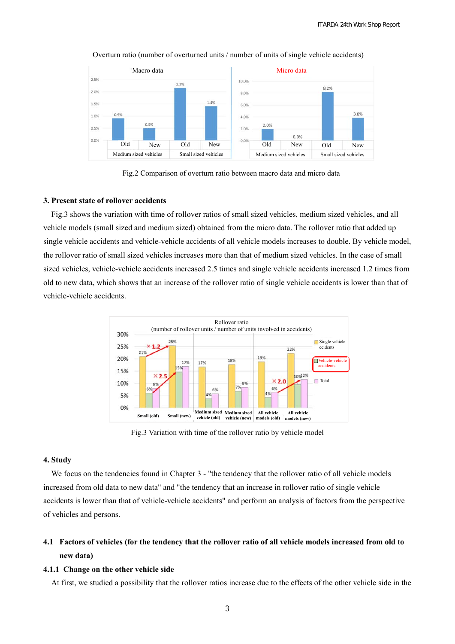

Overturn ratio (number of overturned units / number of units of single vehicle accidents)



#### **3. Present state of rollover accidents**

Fig.3 shows the variation with time of rollover ratios of small sized vehicles, medium sized vehicles, and all vehicle models (small sized and medium sized) obtained from the micro data. The rollover ratio that added up single vehicle accidents and vehicle-vehicle accidents of all vehicle models increases to double. By vehicle model, the rollover ratio of small sized vehicles increases more than that of medium sized vehicles. In the case of small sized vehicles, vehicle-vehicle accidents increased 2.5 times and single vehicle accidents increased 1.2 times from old to new data, which shows that an increase of the rollover ratio of single vehicle accidents is lower than that of vehicle-vehicle accidents.



Fig.3 Variation with time of the rollover ratio by vehicle model

## **4. Study**

We focus on the tendencies found in Chapter 3 - "the tendency that the rollover ratio of all vehicle models increased from old data to new data" and "the tendency that an increase in rollover ratio of single vehicle accidents is lower than that of vehicle-vehicle accidents" and perform an analysis of factors from the perspective of vehicles and persons.

# **4.1 Factors of vehicles (for the tendency that the rollover ratio of all vehicle models increased from old to new data)**

## **4.1.1 Change on the other vehicle side**

At first, we studied a possibility that the rollover ratios increase due to the effects of the other vehicle side in the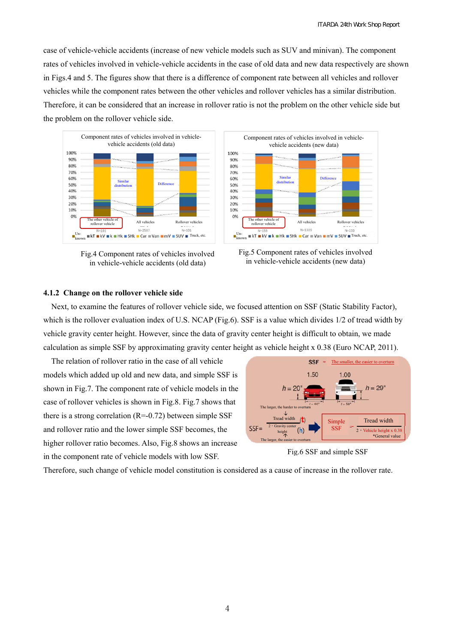case of vehicle-vehicle accidents (increase of new vehicle models such as SUV and minivan). The component rates of vehicles involved in vehicle-vehicle accidents in the case of old data and new data respectively are shown in Figs.4 and 5. The figures show that there is a difference of component rate between all vehicles and rollover vehicles while the component rates between the other vehicles and rollover vehicles has a similar distribution. Therefore, it can be considered that an increase in rollover ratio is not the problem on the other vehicle side but the problem on the rollover vehicle side.



Fig.4 Component rates of vehicles involved in vehicle-vehicle accidents (old data)





#### **4.1.2 Change on the rollover vehicle side**

Next, to examine the features of rollover vehicle side, we focused attention on SSF (Static Stability Factor), which is the rollover evaluation index of U.S. NCAP (Fig.6). SSF is a value which divides  $1/2$  of tread width by vehicle gravity center height. However, since the data of gravity center height is difficult to obtain, we made calculation as simple SSF by approximating gravity center height as vehicle height x 0.38 (Euro NCAP, 2011).

The relation of rollover ratio in the case of all vehicle models which added up old and new data, and simple SSF is shown in Fig.7. The component rate of vehicle models in the case of rollover vehicles is shown in Fig.8. Fig.7 shows that there is a strong correlation  $(R=-0.72)$  between simple SSF and rollover ratio and the lower simple SSF becomes, the higher rollover ratio becomes. Also, Fig.8 shows an increase in the component rate of vehicle models with low SSF.



Fig.6 SSF and simple SSF

Therefore, such change of vehicle model constitution is considered as a cause of increase in the rollover rate.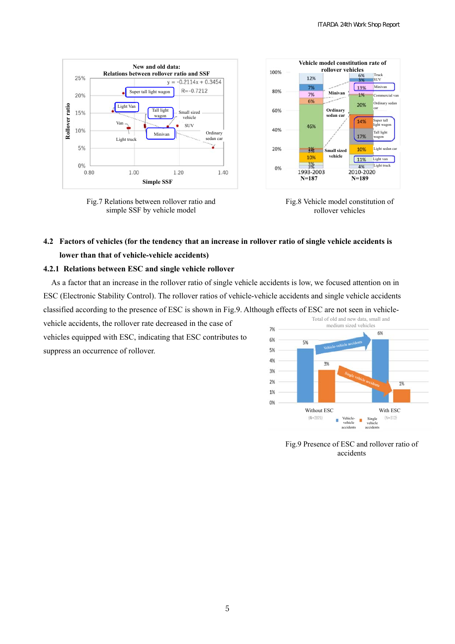

Fig.7 Relations between rollover ratio and simple SSF by vehicle model





# **4.2 Factors of vehicles (for the tendency that an increase in rollover ratio of single vehicle accidents is lower than that of vehicle-vehicle accidents)**

### **4.2.1 Relations between ESC and single vehicle rollover**

As a factor that an increase in the rollover ratio of single vehicle accidents is low, we focused attention on in ESC (Electronic Stability Control). The rollover ratios of vehicle-vehicle accidents and single vehicle accidents classified according to the presence of ESC is shown in Fig.9. Although effects of ESC are not seen in vehicle-

vehicle accidents, the rollover rate decreased in the case of vehicles equipped with ESC, indicating that ESC contributes to suppress an occurrence of rollover.



Fig.9 Presence of ESC and rollover ratio of accidents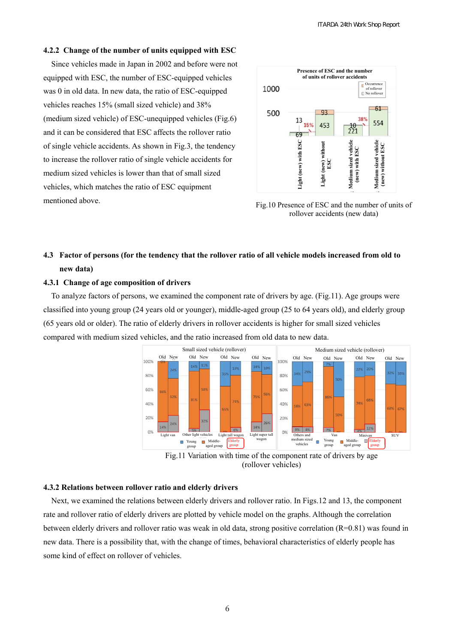## **4.2.2 Change of the number of units equipped with ESC**

Since vehicles made in Japan in 2002 and before were not equipped with ESC, the number of ESC-equipped vehicles was 0 in old data. In new data, the ratio of ESC-equipped vehicles reaches 15% (small sized vehicle) and 38% (medium sized vehicle) of ESC-unequipped vehicles (Fig.6) and it can be considered that ESC affects the rollover ratio of single vehicle accidents. As shown in Fig.3, the tendency to increase the rollover ratio of single vehicle accidents for medium sized vehicles is lower than that of small sized vehicles, which matches the ratio of ESC equipment mentioned above.



Fig.10 Presence of ESC and the number of units of rollover accidents (new data)

# **4.3 Factor of persons (for the tendency that the rollover ratio of all vehicle models increased from old to new data)**

## **4.3.1 Change of age composition of drivers**

To analyze factors of persons, we examined the component rate of drivers by age. (Fig.11). Age groups were classified into young group (24 years old or younger), middle-aged group (25 to 64 years old), and elderly group (65 years old or older). The ratio of elderly drivers in rollover accidents is higher for small sized vehicles compared with medium sized vehicles, and the ratio increased from old data to new data.



(rollover vehicles)

#### **4.3.2 Relations between rollover ratio and elderly drivers**

Next, we examined the relations between elderly drivers and rollover ratio. In Figs.12 and 13, the component rate and rollover ratio of elderly drivers are plotted by vehicle model on the graphs. Although the correlation between elderly drivers and rollover ratio was weak in old data, strong positive correlation (R=0.81) was found in new data. There is a possibility that, with the change of times, behavioral characteristics of elderly people has some kind of effect on rollover of vehicles.